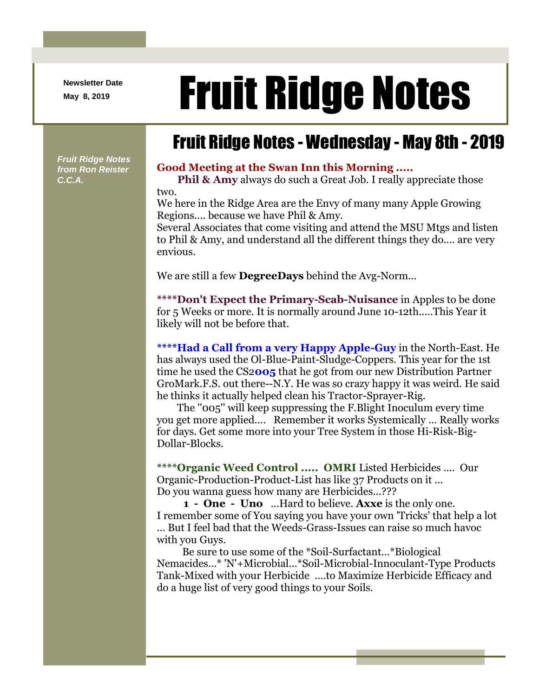**Newsletter Date**

## Newsletter Date **Fruit Ridge Notes**

## Fruit Ridge Notes - Wednesday - May 8th - 2019

*Fruit Ridge Notes from Ron Reister C.C.A.*

## **Good Meeting at the Swan Inn this Morning .....**

**Phil & Amy** always do such a Great Job. I really appreciate those two.

We here in the Ridge Area are the Envy of many many Apple Growing Regions.... because we have Phil & Amy.

Several Associates that come visiting and attend the MSU Mtgs and listen to Phil & Amy, and understand all the different things they do.... are very envious.

We are still a few **DegreeDays** behind the Avg-Norm...

**\*\*\*\*Don't Expect the Primary-Scab-Nuisance** in Apples to be done for 5 Weeks or more. It is normally around June 10-12th.....This Year it likely will not be before that.

**\*\*\*\*Had a Call from a very Happy Apple-Guy** in the North-East. He has always used the Ol-Blue-Paint-Sludge-Coppers. This year for the 1st time he used the CS2**005** that he got from our new Distribution Partner GroMark.F.S. out there--N.Y. He was so crazy happy it was weird. He said he thinks it actually helped clean his Tractor-Sprayer-Rig.

The ''005'' will keep suppressing the F.Blight Inoculum every time you get more applied.... Remember it works Systemically ... Really works for days. Get some more into your Tree System in those Hi-Risk-Big-Dollar-Blocks.

**\*\*\*\*Organic Weed Control ..... OMRI** Listed Herbicides .... Our Organic-Production-Product-List has like 37 Products on it ... Do you wanna guess how many are Herbicides...???

**1 - One - Uno** ...Hard to believe. **Axxe** is the only one. I remember some of You saying you have your own 'Tricks' that help a lot ... But I feel bad that the Weeds-Grass-Issues can raise so much havoc with you Guys.

Be sure to use some of the \*Soil-Surfactant...\*Biological Nemacides...\* 'N'+Microbial...\*Soil-Microbial-Innoculant-Type Products Tank-Mixed with your Herbicide ....to Maximize Herbicide Efficacy and do a huge list of very good things to your Soils.